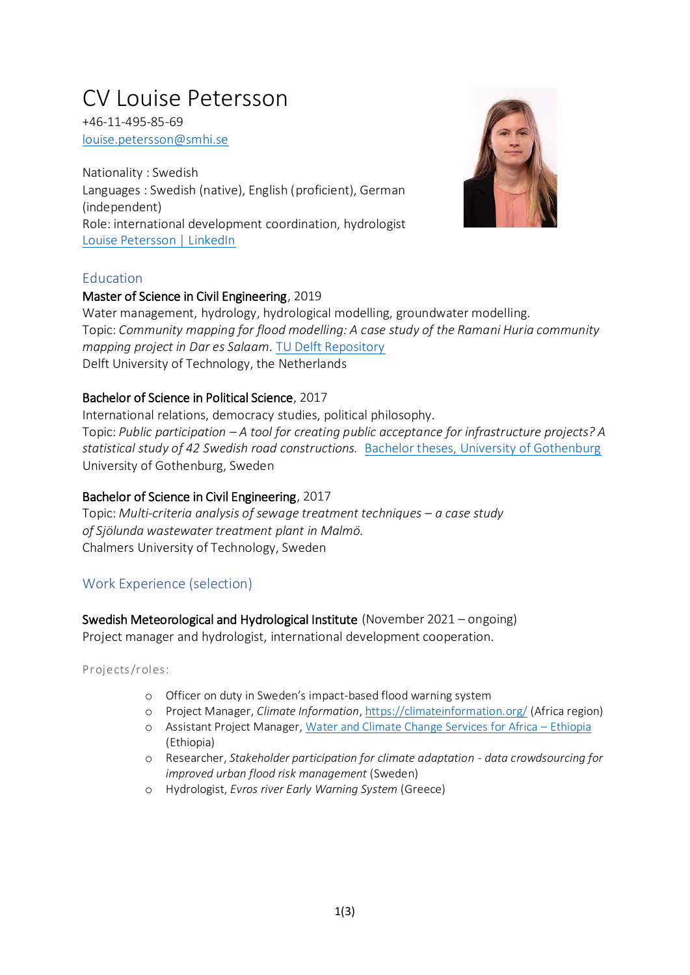# CV Louise Petersson

+46-11-495-85-69 [louise.petersson@smhi.se](mailto:louise.petersson@smhi.se)

Nationality : Swedish Languages : Swedish (native), English (proficient), German (independent) Role: international development coordination, hydrologist [Louise Petersson | LinkedIn](https://www.linkedin.com/in/louise-petersson-b5a898112/)



# **Education**

# Master of Science in Civil Engineering, 2019

Water management, hydrology, hydrological modelling, groundwater modelling. Topic: *Community mapping for flood modelling: A case study of the Ramani Huria community mapping project in Dar es Salaam.* [TU Delft Repository](https://repository.tudelft.nl/islandora/object/uuid%3A7d1d5b0e-f51c-4287-95fe-1b0f62b85a27) Delft University of Technology, the Netherlands

# Bachelor of Science in Political Science, 2017

International relations, democracy studies, political philosophy. Topic: *Public participation – A tool for creating public acceptance for infrastructure projects? A statistical study of 42 Swedish road constructions.* [Bachelor theses, University of Gothenburg](Bachelor%20theses,%20University%20of%20Gothenburg) University of Gothenburg, Sweden

# Bachelor of Science in Civil Engineering, 2017

Topic: Multi-criteria analysis of sewage treatment techniques – a case study *of Sjölunda wastewater treatment plant in Malmö.* Chalmers University of Technology, Sweden

# Work Experience (selection)

Swedish Meteorological and Hydrological Institute (November 2021 – ongoing)

Project manager and hydrologist, international development cooperation.

Projects/roles:

- o Officer on duty in Sweden's impact-based flood warning system
- o Project Manager, *Climate Information*, <https://climateinformation.org/> (Africa region)
- o Assistant Project Manager[, Water and Climate Change Services for Africa](https://www.smhi.se/en/climate/education/capacity-development/ongoing-projects/water-and-climate-change-services-for-africa-ethiopia-wacca-ethiopia-1.146705)  Ethiopia (Ethiopia)
- o Researcher, *Stakeholder participation for climate adaptation - data crowdsourcing for improved urban flood risk management* (Sweden)
- o Hydrologist, *Evros river Early Warning System* (Greece)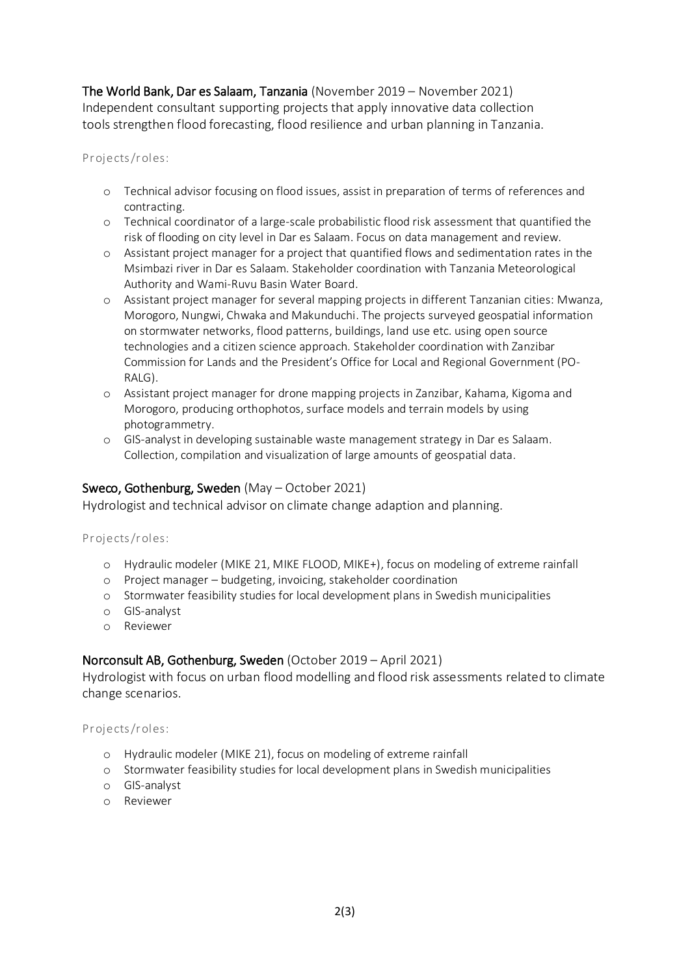The World Bank, Dar es Salaam, Tanzania (November 2019 – November 2021) Independent consultant supporting projects that apply innovative data collection tools strengthen flood forecasting, flood resilience and urban planning in Tanzania.

Projects/roles:

- o Technical advisor focusing on flood issues, assist in preparation of terms of references and contracting.
- o Technical coordinator of a large-scale probabilistic flood risk assessment that quantified the risk of flooding on city level in Dar es Salaam. Focus on data management and review.
- o Assistant project manager for a project that quantified flows and sedimentation rates in the Msimbazi river in Dar es Salaam. Stakeholder coordination with Tanzania Meteorological Authority and Wami-Ruvu Basin Water Board.
- o Assistant project manager for several mapping projects in different Tanzanian cities: Mwanza, Morogoro, Nungwi, Chwaka and Makunduchi. The projects surveyed geospatial information on stormwater networks, flood patterns, buildings, land use etc. using open source technologies and a citizen science approach. Stakeholder coordination with Zanzibar Commission for Lands and the President's Office for Local and Regional Government (PO-RALG).
- o Assistant project manager for drone mapping projects in Zanzibar, Kahama, Kigoma and Morogoro, producing orthophotos, surface models and terrain models by using photogrammetry.
- o GIS-analyst in developing sustainable waste management strategy in Dar es Salaam. Collection, compilation and visualization of large amounts of geospatial data.

# Sweco, Gothenburg, Sweden (May – October 2021)

Hydrologist and technical advisor on climate change adaption and planning.

#### Projects/roles:

- o Hydraulic modeler (MIKE 21, MIKE FLOOD, MIKE+), focus on modeling of extreme rainfall
- o Project manager budgeting, invoicing, stakeholder coordination
- o Stormwater feasibility studies for local development plans in Swedish municipalities
- o GIS-analyst
- o Reviewer

# Norconsult AB, Gothenburg, Sweden (October 2019 – April 2021)

Hydrologist with focus on urban flood modelling and flood risk assessments related to climate change scenarios.

#### Projects/roles:

- o Hydraulic modeler (MIKE 21), focus on modeling of extreme rainfall
- o Stormwater feasibility studies for local development plans in Swedish municipalities
- o GIS-analyst
- o Reviewer